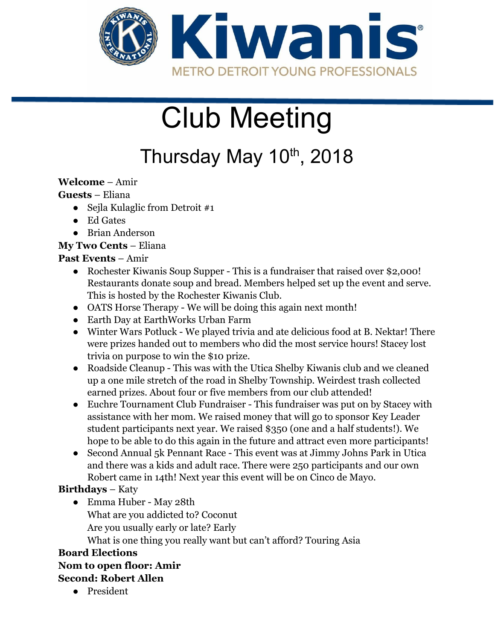

# Club Meeting

## Thursday May 10<sup>th</sup>, 2018

#### **Welcome** – Amir

#### **Guests** – Eliana

- Sejla Kulaglic from Detroit  $#1$
- Ed Gates
- Brian Anderson

#### **My Two Cents** – Eliana

#### **Past Events** – Amir

- Rochester Kiwanis Soup Supper This is a fundraiser that raised over \$2,000! Restaurants donate soup and bread. Members helped set up the event and serve. This is hosted by the Rochester Kiwanis Club.
- OATS Horse Therapy We will be doing this again next month!
- Earth Day at EarthWorks Urban Farm
- Winter Wars Potluck We played trivia and ate delicious food at B. Nektar! There were prizes handed out to members who did the most service hours! Stacey lost trivia on purpose to win the \$10 prize.
- Roadside Cleanup This was with the Utica Shelby Kiwanis club and we cleaned up a one mile stretch of the road in Shelby Township. Weirdest trash collected earned prizes. About four or five members from our club attended!
- Euchre Tournament Club Fundraiser This fundraiser was put on by Stacey with assistance with her mom. We raised money that will go to sponsor Key Leader student participants next year. We raised \$350 (one and a half students!). We hope to be able to do this again in the future and attract even more participants!
- Second Annual 5k Pennant Race This event was at Jimmy Johns Park in Utica and there was a kids and adult race. There were 250 participants and our own Robert came in 14th! Next year this event will be on Cinco de Mayo.

#### **Birthdays** – Katy

● Emma Huber - May 28th What are you addicted to? Coconut Are you usually early or late? Early What is one thing you really want but can't afford? Touring Asia

#### **Board Elections**

### **Nom to open floor: Amir**

#### **Second: Robert Allen**

● President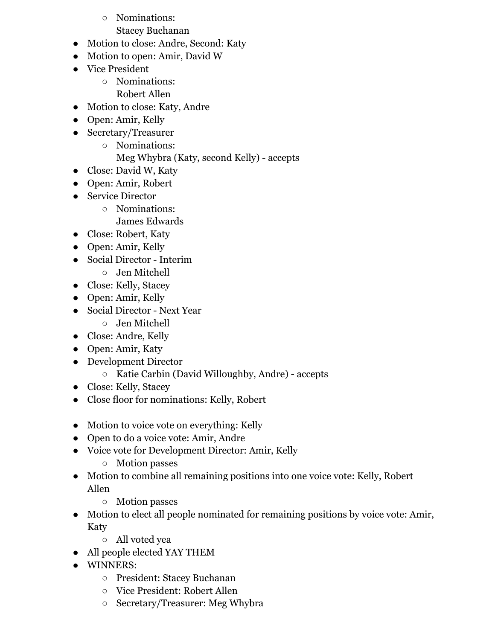○ Nominations: Stacey Buchanan

- Motion to close: Andre, Second: Katy
- Motion to open: Amir, David W
- Vice President
	- Nominations: Robert Allen
- Motion to close: Katy, Andre
- Open: Amir, Kelly
- Secretary/Treasurer
	- Nominations:
		- Meg Whybra (Katy, second Kelly) accepts
- Close: David W, Katy
- Open: Amir, Robert
- Service Director
	- Nominations: James Edwards
- Close: Robert, Katy
- Open: Amir, Kelly
- Social Director Interim
	- Jen Mitchell
- Close: Kelly, Stacey
- Open: Amir, Kelly
- Social Director Next Year
	- Jen Mitchell
- Close: Andre, Kelly
- Open: Amir, Katy
- Development Director
	- Katie Carbin (David Willoughby, Andre) accepts
- Close: Kelly, Stacey
- Close floor for nominations: Kelly, Robert
- Motion to voice vote on everything: Kelly
- Open to do a voice vote: Amir, Andre
- Voice vote for Development Director: Amir, Kelly
	- Motion passes
- Motion to combine all remaining positions into one voice vote: Kelly, Robert Allen
	- Motion passes
- Motion to elect all people nominated for remaining positions by voice vote: Amir, Katy
	- All voted yea
- All people elected YAY THEM
- WINNERS:
	- President: Stacey Buchanan
	- Vice President: Robert Allen
	- Secretary/Treasurer: Meg Whybra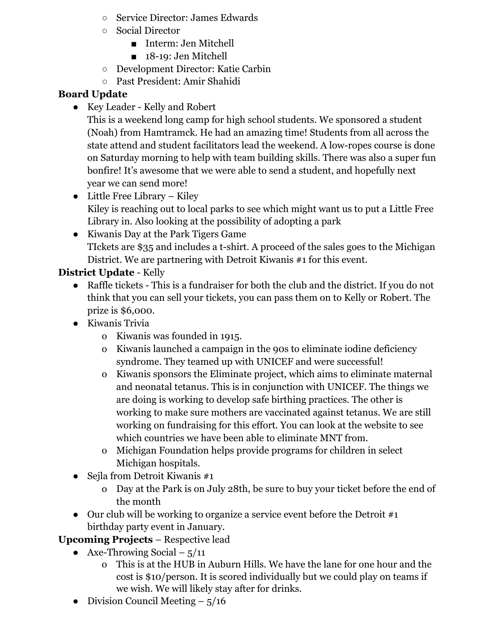- Service Director: James Edwards
- Social Director
	- Interm: Jen Mitchell
	- 18-19: Jen Mitchell
- Development Director: Katie Carbin
- Past President: Amir Shahidi

#### **Board Update**

- Key Leader Kelly and Robert
	- This is a weekend long camp for high school students. We sponsored a student (Noah) from Hamtramck. He had an amazing time! Students from all across the state attend and student facilitators lead the weekend. A low-ropes course is done on Saturday morning to help with team building skills. There was also a super fun bonfire! It's awesome that we were able to send a student, and hopefully next year we can send more!
- $\bullet$  Little Free Library Kiley Kiley is reaching out to local parks to see which might want us to put a Little Free Library in. Also looking at the possibility of adopting a park
- Kiwanis Day at the Park Tigers Game TIckets are \$35 and includes a t-shirt. A proceed of the sales goes to the Michigan District. We are partnering with Detroit Kiwanis #1 for this event.

#### **District Update** - Kelly

- Raffle tickets This is a fundraiser for both the club and the district. If you do not think that you can sell your tickets, you can pass them on to Kelly or Robert. The prize is \$6,000.
- Kiwanis Trivia
	- o Kiwanis was founded in 1915.
	- o Kiwanis launched a campaign in the 90s to eliminate iodine deficiency syndrome. They teamed up with UNICEF and were successful!
	- o Kiwanis sponsors the Eliminate project, which aims to eliminate maternal and neonatal tetanus. This is in conjunction with UNICEF. The things we are doing is working to develop safe birthing practices. The other is working to make sure mothers are vaccinated against tetanus. We are still working on fundraising for this effort. You can look at the website to see which countries we have been able to eliminate MNT from.
	- o Michigan Foundation helps provide programs for children in select Michigan hospitals.
- $\bullet$  Sejla from Detroit Kiwanis #1
	- o Day at the Park is on July 28th, be sure to buy your ticket before the end of the month
- Our club will be working to organize a service event before the Detroit  $\#1$ birthday party event in January.

#### **Upcoming Projects** – Respective lead

- Axe-Throwing Social  $5/11$ 
	- o This is at the HUB in Auburn Hills. We have the lane for one hour and the cost is \$10/person. It is scored individually but we could play on teams if we wish. We will likely stay after for drinks.
- Division Council Meeting  $-5/16$